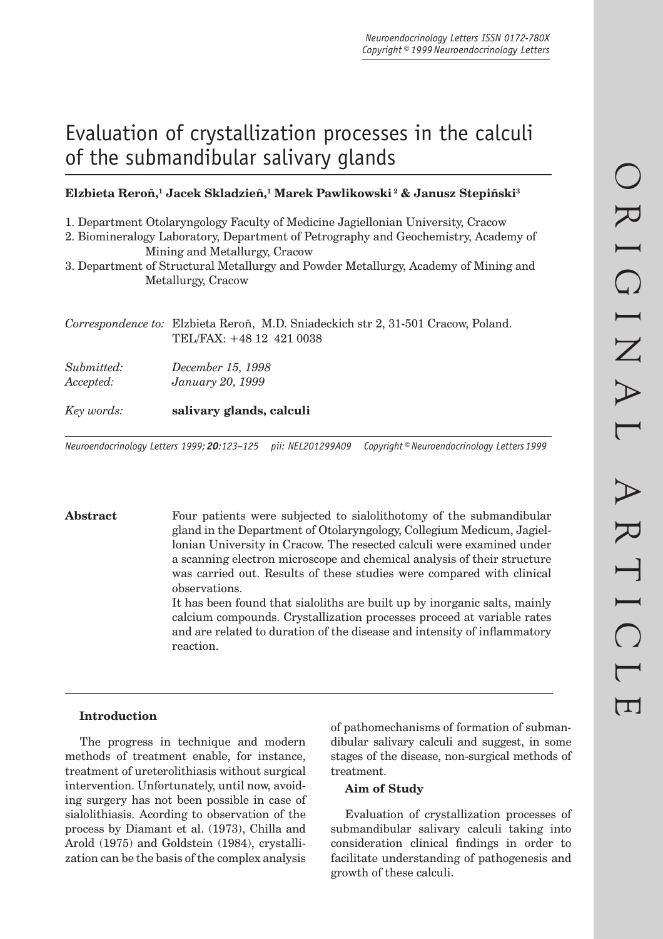# Evaluation of crystallization processes in the calculi of the submandibular salivary glands

# **Elzbieta Reroñ,1 Jacek Skladzieñ,1 Marek Pawlikowski 2 & Janusz Stepiñski3**

1. Department Otolaryngology Faculty of Medicine Jagiellonian University, Cracow

- 2. Biomineralogy Laboratory, Department of Petrography and Geochemistry, Academy of Mining and Metallurgy, Cracow
- 3. Department of Structural Metallurgy and Powder Metallurgy, Academy of Mining and Metallurgy, Cracow

*Correspondence to:* Elzbieta Reroñ, M.D. Sniadeckich str 2, 31-501 Cracow, Poland. TEL/FAX: +48 12 421 0038

*Submitted: December 15, 1998 Accepted: January 20, 1999*

*Key words:* **salivary glands, calculi**

*Neuroendocrinology Letters 1999; 20:123–125 pii: NEL201299A09 Copyright © Neuroendocrinology Letters 1999*

**Abstract** Four patients were subjected to sialolithotomy of the submandibular gland in the Department of Otolaryngology, Collegium Medicum, Jagiellonian University in Cracow. The resected calculi were examined under a scanning electron microscope and chemical analysis of their structure was carried out. Results of these studies were compared with clinical observations.

It has been found that sialoliths are built up by inorganic salts, mainly calcium compounds. Crystallization processes proceed at variable rates and are related to duration of the disease and intensity of inflammatory reaction.

#### **Introduction**

The progress in technique and modern methods of treatment enable, for instance, treatment of ureterolithiasis without surgical intervention. Unfortunately, until now, avoiding surgery has not been possible in case of sialolithiasis. Acording to observation of the process by Diamant et al. (1973), Chilla and Arold (1975) and Goldstein (1984), crystallization can be the basis of the complex analysis of pathomechanisms of formation of submandibular salivary calculi and suggest, in some stages of the disease, non-surgical methods of treatment.

#### **Aim of Study**

Evaluation of crystallization processes of submandibular salivary calculi taking into consideration clinical findings in order to facilitate understanding of pathogenesis and growth of these calculi.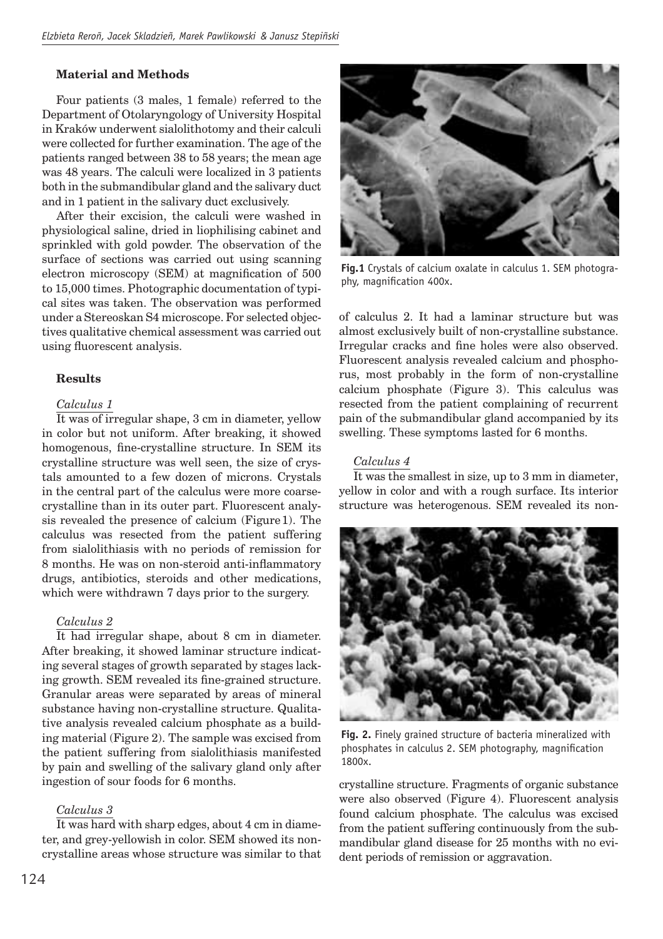# **Material and Methods**

Four patients (3 males, 1 female) referred to the Department of Otolaryngology of University Hospital in Kraków underwent sialolithotomy and their calculi were collected for further examination. The age of the patients ranged between 38 to 58 years; the mean age was 48 years. The calculi were localized in 3 patients both in the submandibular gland and the salivary duct and in 1 patient in the salivary duct exclusively.

After their excision, the calculi were washed in physiological saline, dried in liophilising cabinet and sprinkled with gold powder. The observation of the surface of sections was carried out using scanning electron microscopy (SEM) at magnification of 500 to 15,000 times. Photographic documentation of typical sites was taken. The observation was performed under a Stereoskan S4 microscope. For selected objectives qualitative chemical assessment was carried out using fluorescent analysis.

# **Results**

# *Calculus 1*

It was of irregular shape, 3 cm in diameter, yellow in color but not uniform. After breaking, it showed homogenous, fine-crystalline structure. In SEM its crystalline structure was well seen, the size of crystals amounted to a few dozen of microns. Crystals in the central part of the calculus were more coarsecrystalline than in its outer part. Fluorescent analysis revealed the presence of calcium (Figure 1). The calculus was resected from the patient suffering from sialolithiasis with no periods of remission for 8 months. He was on non-steroid anti-inflammatory drugs, antibiotics, steroids and other medications, which were withdrawn 7 days prior to the surgery.

### *Calculus 2*

It had irregular shape, about 8 cm in diameter. After breaking, it showed laminar structure indicating several stages of growth separated by stages lacking growth. SEM revealed its fine-grained structure. Granular areas were separated by areas of mineral substance having non-crystalline structure. Qualitative analysis revealed calcium phosphate as a building material (Figure 2). The sample was excised from the patient suffering from sialolithiasis manifested by pain and swelling of the salivary gland only after ingestion of sour foods for 6 months.

# *Calculus 3*

It was hard with sharp edges, about 4 cm in diameter, and grey-yellowish in color. SEM showed its noncrystalline areas whose structure was similar to that



**Fig.1** Crystals of calcium oxalate in calculus 1. SEM photography, magnification 400x.

of calculus 2. It had a laminar structure but was almost exclusively built of non-crystalline substance. Irregular cracks and fine holes were also observed. Fluorescent analysis revealed calcium and phosphorus, most probably in the form of non-crystalline calcium phosphate (Figure 3). This calculus was resected from the patient complaining of recurrent pain of the submandibular gland accompanied by its swelling. These symptoms lasted for 6 months.

# *Calculus 4*

It was the smallest in size, up to 3 mm in diameter, yellow in color and with a rough surface. Its interior structure was heterogenous. SEM revealed its non-



**Fig. 2.** Finely grained structure of bacteria mineralized with phosphates in calculus 2. SEM photography, magnification 1800x.

crystalline structure. Fragments of organic substance were also observed (Figure 4). Fluorescent analysis found calcium phosphate. The calculus was excised from the patient suffering continuously from the submandibular gland disease for 25 months with no evident periods of remission or aggravation.